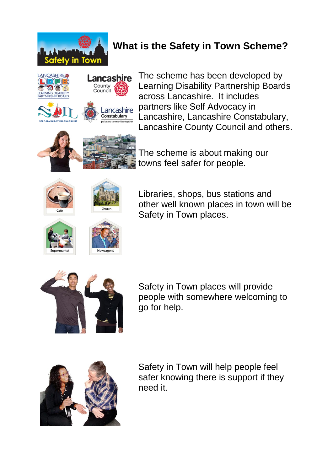

## **What is the Safety in Town Scheme?**



The scheme has been developed by Learning Disability Partnership Boards across Lancashire. It includes partners like Self Advocacy in Lancashire, Lancashire Constabulary, Lancashire County Council and others.



The scheme is about making our towns feel safer for people.





Libraries, shops, bus stations and other well known places in town will be Safety in Town places.







Safety in Town places will provide people with somewhere welcoming to go for help.



Safety in Town will help people feel safer knowing there is support if they need it.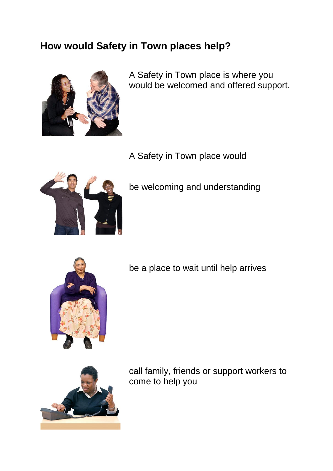## **How would Safety in Town places help?**



A Safety in Town place is where you would be welcomed and offered support.

A Safety in Town place would



be welcoming and understanding



be a place to wait until help arrives



call family, friends or support workers to come to help you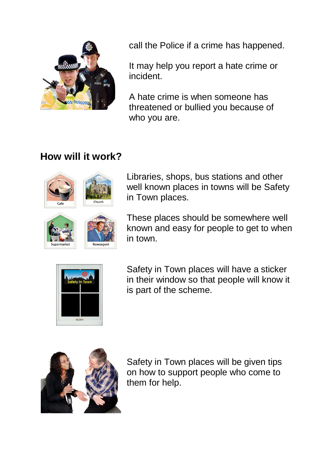

call the Police if a crime has happened.

It may help you report a hate crime or incident.

A hate crime is when someone has threatened or bullied you because of who you are.

## **How will it work?**





These places should be somewhere well known and easy for people to get to when in town.



Safety in Town places will have a sticker in their window so that people will know it is part of the scheme.



Safety in Town places will be given tips on how to support people who come to them for help.